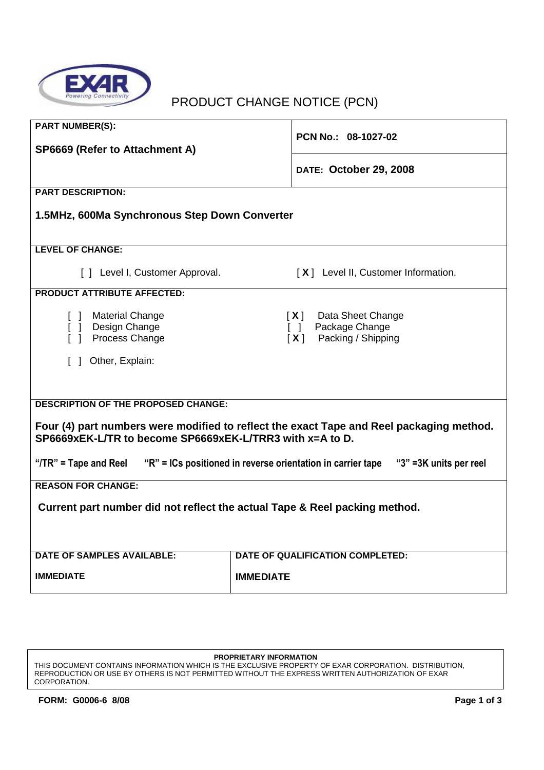

# PRODUCT CHANGE NOTICE (PCN)

| <b>PART NUMBER(S):</b>                                                                                                                                                                             | PCN No.: 08-1027-02                                                                                          |  |
|----------------------------------------------------------------------------------------------------------------------------------------------------------------------------------------------------|--------------------------------------------------------------------------------------------------------------|--|
| SP6669 (Refer to Attachment A)                                                                                                                                                                     |                                                                                                              |  |
|                                                                                                                                                                                                    | DATE: October 29, 2008                                                                                       |  |
| <b>PART DESCRIPTION:</b>                                                                                                                                                                           |                                                                                                              |  |
| 1.5MHz, 600Ma Synchronous Step Down Converter                                                                                                                                                      |                                                                                                              |  |
|                                                                                                                                                                                                    |                                                                                                              |  |
| <b>LEVEL OF CHANGE:</b>                                                                                                                                                                            |                                                                                                              |  |
| [ ] Level I, Customer Approval.                                                                                                                                                                    | [X] Level II, Customer Information.                                                                          |  |
| <b>PRODUCT ATTRIBUTE AFFECTED:</b>                                                                                                                                                                 |                                                                                                              |  |
| [ ] Material Change<br>[ ] Design Change<br>[ ] Process Change<br>Other, Explain:<br>$\Box$                                                                                                        | Data Sheet Change<br>[X]<br>Package Change<br>$\begin{bmatrix} 1 \end{bmatrix}$<br>Packing / Shipping<br>[X] |  |
| <b>DESCRIPTION OF THE PROPOSED CHANGE:</b><br>Four (4) part numbers were modified to reflect the exact Tape and Reel packaging method.<br>SP6669xEK-L/TR to become SP6669xEK-L/TRR3 with x=A to D. |                                                                                                              |  |
| "R" = ICs positioned in reverse orientation in carrier tape<br>"/ $TR$ " = Tape and Reel<br>"3" = 3K units per reel                                                                                |                                                                                                              |  |
| <b>REASON FOR CHANGE:</b>                                                                                                                                                                          |                                                                                                              |  |
| Current part number did not reflect the actual Tape & Reel packing method.                                                                                                                         |                                                                                                              |  |
| <b>DATE OF SAMPLES AVAILABLE:</b>                                                                                                                                                                  | <b>DATE OF QUALIFICATION COMPLETED:</b>                                                                      |  |
| <b>IMMEDIATE</b>                                                                                                                                                                                   | <b>IMMEDIATE</b>                                                                                             |  |

#### **PROPRIETARY INFORMATION**

THIS DOCUMENT CONTAINS INFORMATION WHICH IS THE EXCLUSIVE PROPERTY OF EXAR CORPORATION. DISTRIBUTION, REPRODUCTION OR USE BY OTHERS IS NOT PERMITTED WITHOUT THE EXPRESS WRITTEN AUTHORIZATION OF EXAR CORPORATION.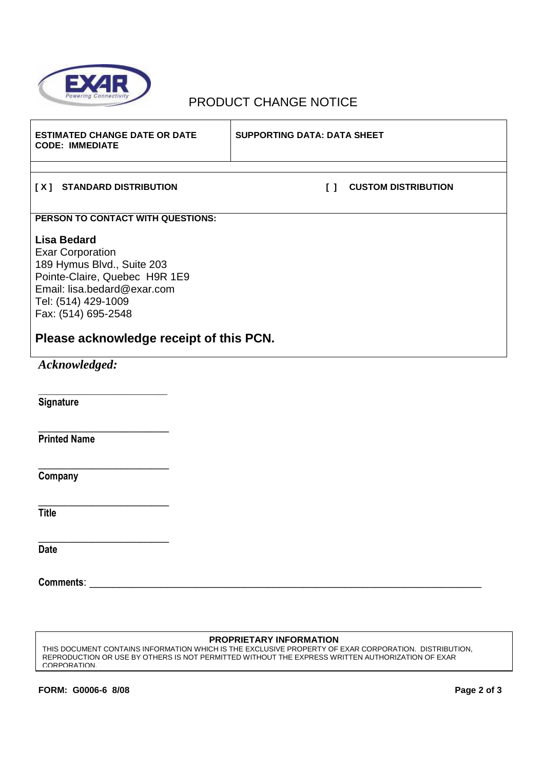

## PRODUCT CHANGE NOTICE

| <b>ESTIMATED CHANGE DATE OR DATE</b><br><b>CODE: IMMEDIATE</b>                                                                                                                            | <b>SUPPORTING DATA: DATA SHEET</b>                                    |  |
|-------------------------------------------------------------------------------------------------------------------------------------------------------------------------------------------|-----------------------------------------------------------------------|--|
| [X] STANDARD DISTRIBUTION                                                                                                                                                                 | <b>CUSTOM DISTRIBUTION</b><br>$\begin{smallmatrix}1\end{smallmatrix}$ |  |
| PERSON TO CONTACT WITH QUESTIONS:                                                                                                                                                         |                                                                       |  |
| <b>Lisa Bedard</b><br><b>Exar Corporation</b><br>189 Hymus Blvd., Suite 203<br>Pointe-Claire, Quebec H9R 1E9<br>Email: lisa.bedard@exar.com<br>Tel: (514) 429-1009<br>Fax: (514) 695-2548 |                                                                       |  |
| Please acknowledge receipt of this PCN.                                                                                                                                                   |                                                                       |  |
| Acknowledged:                                                                                                                                                                             |                                                                       |  |
| Signature                                                                                                                                                                                 |                                                                       |  |
| <b>Printed Name</b>                                                                                                                                                                       |                                                                       |  |
| Company                                                                                                                                                                                   |                                                                       |  |
| <b>Title</b>                                                                                                                                                                              |                                                                       |  |
| <b>Date</b>                                                                                                                                                                               |                                                                       |  |

**Comments**: \_\_\_\_\_\_\_\_\_\_\_\_\_\_\_\_\_\_\_\_\_\_\_\_\_\_\_\_\_\_\_\_\_\_\_\_\_\_\_\_\_\_\_\_\_\_\_\_\_\_\_\_\_\_\_\_\_\_\_\_\_\_\_\_\_\_

### **PROPRIETARY INFORMATION**

THIS DOCUMENT CONTAINS INFORMATION WHICH IS THE EXCLUSIVE PROPERTY OF EXAR CORPORATION. DISTRIBUTION, REPRODUCTION OR USE BY OTHERS IS NOT PERMITTED WITHOUT THE EXPRESS WRITTEN AUTHORIZATION OF EXAR CORPORATION.